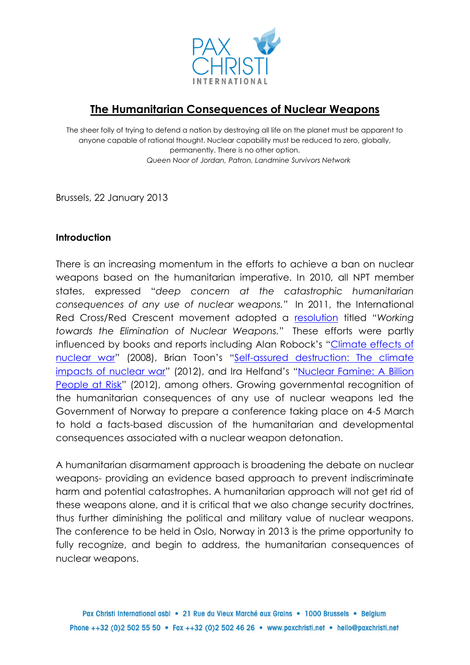

# **The Humanitarian Consequences of Nuclear Weapons**

The sheer folly of trying to defend a nation by destroying all life on the planet must be apparent to anyone capable of rational thought. Nuclear capability must be reduced to zero, globally, permanently. There is no other option. *Queen Noor of Jordan, Patron, Landmine Survivors Network*

Brussels, 22 January 2013

#### **Introduction**

There is an increasing momentum in the efforts to achieve a ban on nuclear weapons based on the humanitarian imperative. In 2010, all NPT member states, expressed "*deep concern at the catastrophic humanitarian consequences of any use of nuclear weapons.*" In 2011, the International Red Cross/Red Crescent movement adopted a [resolution](http://www.standcom.ch/download/cod_2011/cod_2011_resolutions/item_1/CD11_R1_Nuclear_Weapons_EN.pdf) titled "*Working towards the Elimination of Nuclear Weapons.*" These efforts were partly influenced by books and reports including Alan Robock's "[Climate effects of](http://climate.envsci.rutgers.edu/pdf/RobockNWpolitics.pdf)  [nuclear war](http://climate.envsci.rutgers.edu/pdf/RobockNWpolitics.pdf)" (2008), Brian Toon's "[Self-assured destruction: The climate](http://climate.envsci.rutgers.edu/pdf/RobockToonSAD.pdf)  [impacts of nuclear war](http://climate.envsci.rutgers.edu/pdf/RobockToonSAD.pdf)" (2012), and Ira Helfand's "Nuclear Famine: A Billion [People at Risk](http://www.psr.org/chapters/oregon/assets/pdfs/nuclear-famine-a-billion.pdf)" (2012), among others. Growing governmental recognition of the humanitarian consequences of any use of nuclear weapons led the Government of Norway to prepare a conference taking place on 4-5 March to hold a facts-based discussion of the humanitarian and developmental consequences associated with a nuclear weapon detonation.

A humanitarian disarmament approach is broadening the debate on nuclear weapons- providing an evidence based approach to prevent indiscriminate harm and potential catastrophes. A humanitarian approach will not get rid of these weapons alone, and it is critical that we also change security doctrines, thus further diminishing the political and military value of nuclear weapons. The conference to be held in Oslo, Norway in 2013 is the prime opportunity to fully recognize, and begin to address, the humanitarian consequences of nuclear weapons.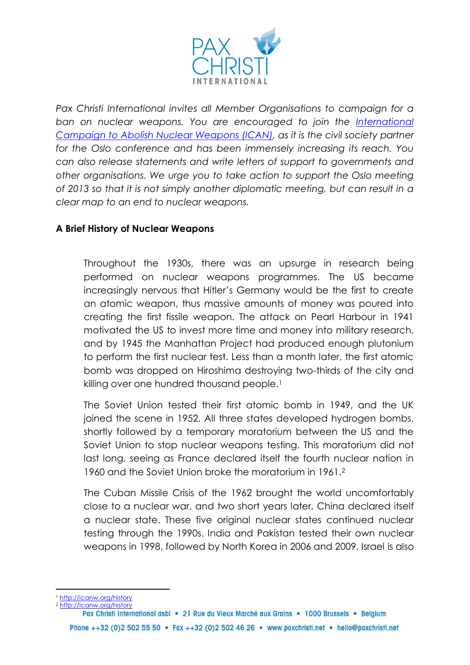

*Pax Christi International invites all Member Organisations to campaign for a ban on nuclear weapons. You are encouraged to join the [International](http://icanw.org/)  [Campaign to Abolish Nuclear Weapons \(ICAN\),](http://icanw.org/) as it is the civil society partner for the Oslo conference and has been immensely increasing its reach. You can also release statements and write letters of support to governments and other organisations. We urge you to take action to support the Oslo meeting of 2013 so that it is not simply another diplomatic meeting, but can result in a clear map to an end to nuclear weapons.*

## **A Brief History of Nuclear Weapons**

Throughout the 1930s, there was an upsurge in research being performed on nuclear weapons programmes. The US became increasingly nervous that Hitler's Germany would be the first to create an atomic weapon, thus massive amounts of money was poured into creating the first fissile weapon. The attack on Pearl Harbour in 1941 motivated the US to invest more time and money into military research, and by 1945 the Manhattan Project had produced enough plutonium to perform the first nuclear test. Less than a month later, the first atomic bomb was dropped on Hiroshima destroying two-thirds of the city and killing over one hundred thousand people.<sup>1</sup>

The Soviet Union tested their first atomic bomb in 1949, and the UK joined the scene in 1952. All three states developed hydrogen bombs, shortly followed by a temporary moratorium between the US and the Soviet Union to stop nuclear weapons testing. This moratorium did not last long, seeing as France declared itself the fourth nuclear nation in 1960 and the Soviet Union broke the moratorium in 1961.<sup>2</sup>

The Cuban Missile Crisis of the 1962 brought the world uncomfortably close to a nuclear war, and two short years later, China declared itself a nuclear state. These five original nuclear states continued nuclear testing through the 1990s. India and Pakistan tested their own nuclear weapons in 1998, followed by North Korea in 2006 and 2009. Israel is also

<sup>1</sup> <http://icanw.org/history>

**.** 

<sup>2</sup> <http://icanw.org/history>

Pax Christi International asbl • 21 Rue du Vieux Marché aux Grains • 1000 Brussels • Belgium Phone ++32 (0)2 502 55 50 • Fax ++32 (0)2 502 46 26 • www.paxchristi.net • hello@paxchristi.net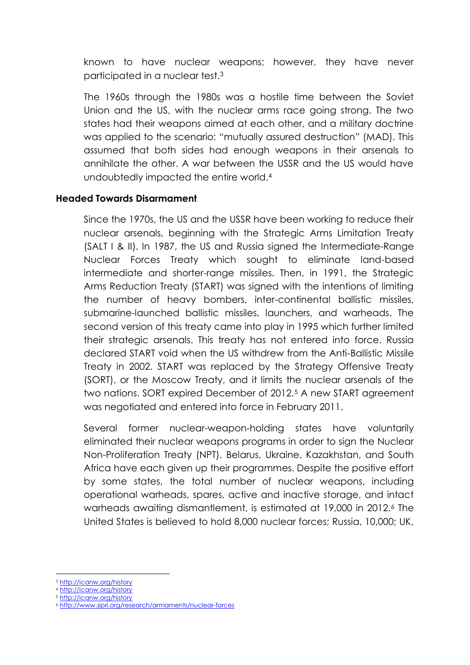known to have nuclear weapons; however, they have never participated in a nuclear test.<sup>3</sup>

The 1960s through the 1980s was a hostile time between the Soviet Union and the US, with the nuclear arms race going strong. The two states had their weapons aimed at each other, and a military doctrine was applied to the scenario: "mutually assured destruction" (MAD). This assumed that both sides had enough weapons in their arsenals to annihilate the other. A war between the USSR and the US would have undoubtedly impacted the entire world.<sup>4</sup>

#### **Headed Towards Disarmament**

Since the 1970s, the US and the USSR have been working to reduce their nuclear arsenals, beginning with the Strategic Arms Limitation Treaty (SALT I & II). In 1987, the US and Russia signed the Intermediate-Range Nuclear Forces Treaty which sought to eliminate land-based intermediate and shorter-range missiles. Then, in 1991, the Strategic Arms Reduction Treaty (START) was signed with the intentions of limiting the number of heavy bombers, inter-continental ballistic missiles, submarine-launched ballistic missiles, launchers, and warheads. The second version of this treaty came into play in 1995 which further limited their strategic arsenals. This treaty has not entered into force. Russia declared START void when the US withdrew from the Anti-Ballistic Missile Treaty in 2002. START was replaced by the Strategy Offensive Treaty (SORT), or the Moscow Treaty, and it limits the nuclear arsenals of the two nations. SORT expired December of 2012.<sup>5</sup> A new START agreement was negotiated and entered into force in February 2011.

Several former nuclear-weapon-holding states have voluntarily eliminated their nuclear weapons programs in order to sign the Nuclear Non-Proliferation Treaty (NPT). Belarus, Ukraine, Kazakhstan, and South Africa have each given up their programmes. Despite the positive effort by some states, the total number of nuclear weapons, including operational warheads, spares, active and inactive storage, and intact warheads awaiting dismantlement, is estimated at 19,000 in 2012.<sup>6</sup> The United States is believed to hold 8,000 nuclear forces; Russia, 10,000; UK,

<sup>3</sup> <http://icanw.org/history>

<sup>4</sup> <http://icanw.org/history>

<sup>5</sup> <http://icanw.org/history>

<sup>6</sup> <http://www.sipri.org/research/armaments/nuclear-forces>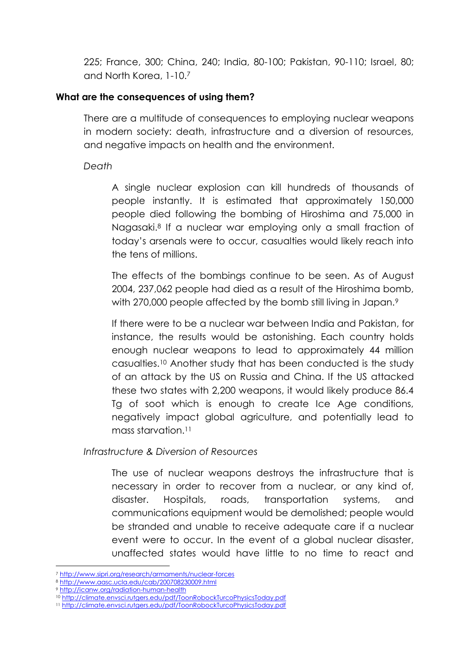225; France, 300; China, 240; India, 80-100; Pakistan, 90-110; Israel, 80; and North Korea, 1-10.<sup>7</sup>

#### **What are the consequences of using them?**

There are a multitude of consequences to employing nuclear weapons in modern society: death, infrastructure and a diversion of resources, and negative impacts on health and the environment.

#### *Death*

A single nuclear explosion can kill hundreds of thousands of people instantly. It is estimated that approximately 150,000 people died following the bombing of Hiroshima and 75,000 in Nagasaki.<sup>8</sup> If a nuclear war employing only a small fraction of today's arsenals were to occur, casualties would likely reach into the tens of millions.

The effects of the bombings continue to be seen. As of August 2004, 237,062 people had died as a result of the Hiroshima bomb, with 270,000 people affected by the bomb still living in Japan.<sup>9</sup>

If there were to be a nuclear war between India and Pakistan, for instance, the results would be astonishing. Each country holds enough nuclear weapons to lead to approximately 44 million casualties.<sup>10</sup> Another study that has been conducted is the study of an attack by the US on Russia and China. If the US attacked these two states with 2,200 weapons, it would likely produce 86.4 Tg of soot which is enough to create Ice Age conditions, negatively impact global agriculture, and potentially lead to mass starvation.<sup>11</sup>

*Infrastructure & Diversion of Resources*

The use of nuclear weapons destroys the infrastructure that is necessary in order to recover from a nuclear, or any kind of, disaster. Hospitals, roads, transportation systems, and communications equipment would be demolished; people would be stranded and unable to receive adequate care if a nuclear event were to occur. In the event of a global nuclear disaster, unaffected states would have little to no time to react and

<sup>7</sup> <http://www.sipri.org/research/armaments/nuclear-forces>

<sup>8</sup> <http://www.aasc.ucla.edu/cab/200708230009.html>

<sup>9</sup> <http://icanw.org/radiation-human-health>

<sup>10</sup> <http://climate.envsci.rutgers.edu/pdf/ToonRobockTurcoPhysicsToday.pdf>

<sup>11</sup> <http://climate.envsci.rutgers.edu/pdf/ToonRobockTurcoPhysicsToday.pdf>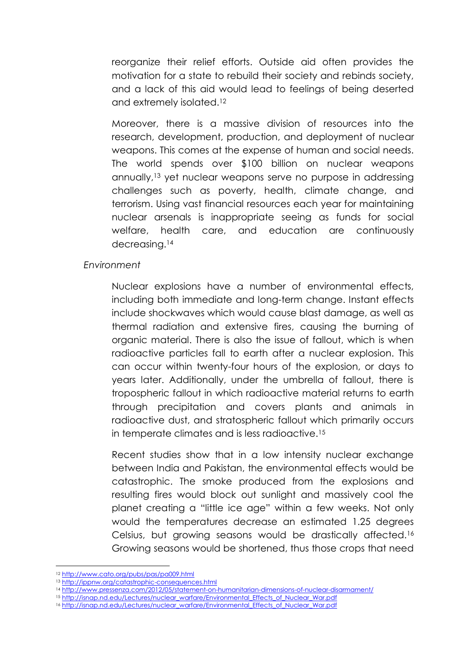reorganize their relief efforts. Outside aid often provides the motivation for a state to rebuild their society and rebinds society, and a lack of this aid would lead to feelings of being deserted and extremely isolated.<sup>12</sup>

Moreover, there is a massive division of resources into the research, development, production, and deployment of nuclear weapons. This comes at the expense of human and social needs. The world spends over \$100 billion on nuclear weapons annually,<sup>13</sup> yet nuclear weapons serve no purpose in addressing challenges such as poverty, health, climate change, and terrorism. Using vast financial resources each year for maintaining nuclear arsenals is inappropriate seeing as funds for social welfare, health care, and education are continuously decreasing.<sup>14</sup>

## *Environment*

Nuclear explosions have a number of environmental effects, including both immediate and long-term change. Instant effects include shockwaves which would cause blast damage, as well as thermal radiation and extensive fires, causing the burning of organic material. There is also the issue of fallout, which is when radioactive particles fall to earth after a nuclear explosion. This can occur within twenty-four hours of the explosion, or days to years later. Additionally, under the umbrella of fallout, there is tropospheric fallout in which radioactive material returns to earth through precipitation and covers plants and animals in radioactive dust, and stratospheric fallout which primarily occurs in temperate climates and is less radioactive.<sup>15</sup>

Recent studies show that in a low intensity nuclear exchange between India and Pakistan, the environmental effects would be catastrophic. The smoke produced from the explosions and resulting fires would block out sunlight and massively cool the planet creating a "little ice age" within a few weeks. Not only would the temperatures decrease an estimated 1.25 degrees Celsius, but growing seasons would be drastically affected.<sup>16</sup> Growing seasons would be shortened, thus those crops that need

<sup>12</sup> <http://www.cato.org/pubs/pas/pa009.html>

<sup>13</sup> <http://ippnw.org/catastrophic-consequences.html>

<sup>14</sup> <http://www.pressenza.com/2012/05/statement-on-humanitarian-dimensions-of-nuclear-disarmament/>

<sup>15</sup> [http://isnap.nd.edu/Lectures/nuclear\\_warfare/Environmental\\_Effects\\_of\\_Nuclear\\_War.pdf](http://isnap.nd.edu/Lectures/nuclear_warfare/Environmental_Effects_of_Nuclear_War.pdf)

<sup>&</sup>lt;sup>16</sup> [http://isnap.nd.edu/Lectures/nuclear\\_warfare/Environmental\\_Effects\\_of\\_Nuclear\\_War.pdf](http://isnap.nd.edu/Lectures/nuclear_warfare/Environmental_Effects_of_Nuclear_War.pdf)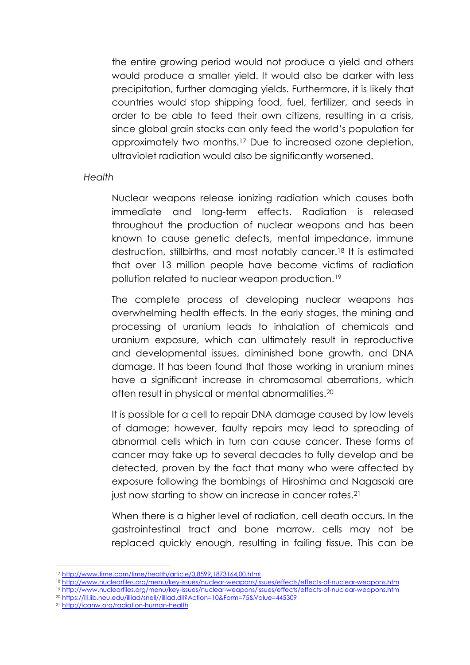the entire growing period would not produce a yield and others would produce a smaller yield. It would also be darker with less precipitation, further damaging yields. Furthermore, it is likely that countries would stop shipping food, fuel, fertilizer, and seeds in order to be able to feed their own citizens, resulting in a crisis, since global grain stocks can only feed the world's population for approximately two months.<sup>17</sup> Due to increased ozone depletion, ultraviolet radiation would also be significantly worsened.

#### *Health*

Nuclear weapons release ionizing radiation which causes both immediate and long-term effects. Radiation is released throughout the production of nuclear weapons and has been known to cause genetic defects, mental impedance, immune destruction, stillbirths, and most notably cancer.<sup>18</sup> It is estimated that over 13 million people have become victims of radiation pollution related to nuclear weapon production.<sup>19</sup>

The complete process of developing nuclear weapons has overwhelming health effects. In the early stages, the mining and processing of uranium leads to inhalation of chemicals and uranium exposure, which can ultimately result in reproductive and developmental issues, diminished bone growth, and DNA damage. It has been found that those working in uranium mines have a significant increase in chromosomal aberrations, which often result in physical or mental abnormalities.<sup>20</sup>

It is possible for a cell to repair DNA damage caused by low levels of damage; however, faulty repairs may lead to spreading of abnormal cells which in turn can cause cancer. These forms of cancer may take up to several decades to fully develop and be detected, proven by the fact that many who were affected by exposure following the bombings of Hiroshima and Nagasaki are just now starting to show an increase in cancer rates.<sup>21</sup>

When there is a higher level of radiation, cell death occurs. In the gastrointestinal tract and bone marrow, cells may not be replaced quickly enough, resulting in failing tissue. This can be

<sup>17</sup> <http://www.time.com/time/health/article/0,8599,1873164,00.html>

<sup>18</sup> <http://www.nuclearfiles.org/menu/key-issues/nuclear-weapons/issues/effects/effects-of-nuclear-weapons.htm>

<sup>19</sup> <http://www.nuclearfiles.org/menu/key-issues/nuclear-weapons/issues/effects/effects-of-nuclear-weapons.htm>

<sup>20</sup> [https://ill.lib.neu.edu/illiad/snell//illiad.dll?Action=10&Form=75&Value=445309](https://ill.lib.neu.edu/illiad/snell/illiad.dll?Action=10&Form=75&Value=445309)

<sup>21</sup> <http://icanw.org/radiation-human-health>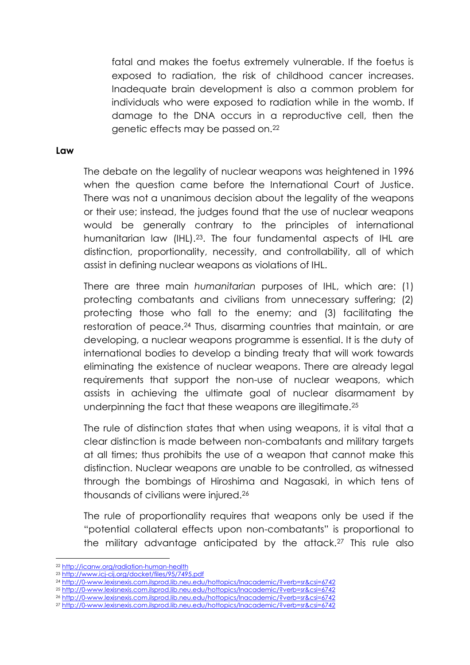fatal and makes the foetus extremely vulnerable. If the foetus is exposed to radiation, the risk of childhood cancer increases. Inadequate brain development is also a common problem for individuals who were exposed to radiation while in the womb. If damage to the DNA occurs in a reproductive cell, then the genetic effects may be passed on.<sup>22</sup>

#### **Law**

The debate on the legality of nuclear weapons was heightened in 1996 when the question came before the International Court of Justice. There was not a unanimous decision about the legality of the weapons or their use; instead, the judges found that the use of nuclear weapons would be generally contrary to the principles of international humanitarian law (IHL).23. The four fundamental aspects of IHL are distinction, proportionality, necessity, and controllability, all of which assist in defining nuclear weapons as violations of IHL.

There are three main *humanitarian* purposes of IHL, which are: (1) protecting combatants and civilians from unnecessary suffering; (2) protecting those who fall to the enemy; and (3) facilitating the restoration of peace.<sup>24</sup> Thus, disarming countries that maintain, or are developing, a nuclear weapons programme is essential. It is the duty of international bodies to develop a binding treaty that will work towards eliminating the existence of nuclear weapons. There are already legal requirements that support the non-use of nuclear weapons, which assists in achieving the ultimate goal of nuclear disarmament by underpinning the fact that these weapons are illegitimate.<sup>25</sup>

The rule of distinction states that when using weapons, it is vital that a clear distinction is made between non-combatants and military targets at all times; thus prohibits the use of a weapon that cannot make this distinction. Nuclear weapons are unable to be controlled, as witnessed through the bombings of Hiroshima and Nagasaki, in which tens of thousands of civilians were injured.<sup>26</sup>

The rule of proportionality requires that weapons only be used if the "potential collateral effects upon non-combatants" is proportional to the military advantage anticipated by the attack.<sup>27</sup> This rule also

1

<sup>22</sup> <http://icanw.org/radiation-human-health>

<sup>23</sup> <http://www.icj-cij.org/docket/files/95/7495.pdf>

<sup>24</sup> <http://0-www.lexisnexis.com.ilsprod.lib.neu.edu/hottopics/lnacademic/?verb=sr&csi=6742>

<sup>25</sup> <http://0-www.lexisnexis.com.ilsprod.lib.neu.edu/hottopics/lnacademic/?verb=sr&csi=6742> <sup>26</sup> <http://0-www.lexisnexis.com.ilsprod.lib.neu.edu/hottopics/lnacademic/?verb=sr&csi=6742>

<sup>27</sup> <http://0-www.lexisnexis.com.ilsprod.lib.neu.edu/hottopics/lnacademic/?verb=sr&csi=6742>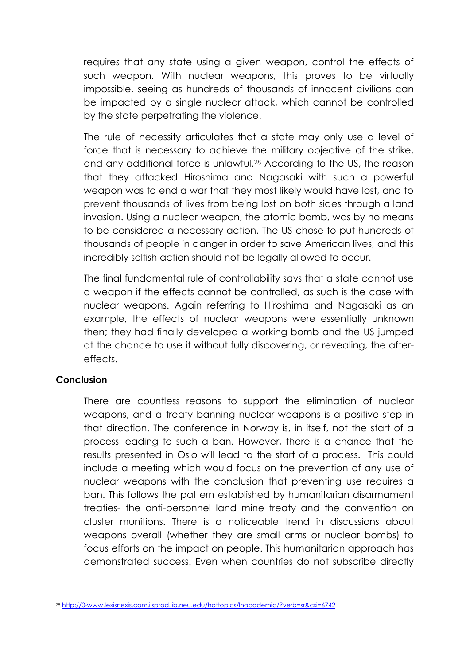requires that any state using a given weapon, control the effects of such weapon. With nuclear weapons, this proves to be virtually impossible, seeing as hundreds of thousands of innocent civilians can be impacted by a single nuclear attack, which cannot be controlled by the state perpetrating the violence.

The rule of necessity articulates that a state may only use a level of force that is necessary to achieve the military objective of the strike, and any additional force is unlawful.<sup>28</sup> According to the US, the reason that they attacked Hiroshima and Nagasaki with such a powerful weapon was to end a war that they most likely would have lost, and to prevent thousands of lives from being lost on both sides through a land invasion. Using a nuclear weapon, the atomic bomb, was by no means to be considered a necessary action. The US chose to put hundreds of thousands of people in danger in order to save American lives, and this incredibly selfish action should not be legally allowed to occur.

The final fundamental rule of controllability says that a state cannot use a weapon if the effects cannot be controlled, as such is the case with nuclear weapons. Again referring to Hiroshima and Nagasaki as an example, the effects of nuclear weapons were essentially unknown then; they had finally developed a working bomb and the US jumped at the chance to use it without fully discovering, or revealing, the aftereffects.

## **Conclusion**

There are countless reasons to support the elimination of nuclear weapons, and a treaty banning nuclear weapons is a positive step in that direction. The conference in Norway is, in itself, not the start of a process leading to such a ban. However, there is a chance that the results presented in Oslo will lead to the start of a process. This could include a meeting which would focus on the prevention of any use of nuclear weapons with the conclusion that preventing use requires a ban. This follows the pattern established by humanitarian disarmament treaties- the anti-personnel land mine treaty and the convention on cluster munitions. There is a noticeable trend in discussions about weapons overall (whether they are small arms or nuclear bombs) to focus efforts on the impact on people. This humanitarian approach has demonstrated success. Even when countries do not subscribe directly

<sup>1</sup> <sup>28</sup> <http://0-www.lexisnexis.com.ilsprod.lib.neu.edu/hottopics/lnacademic/?verb=sr&csi=6742>